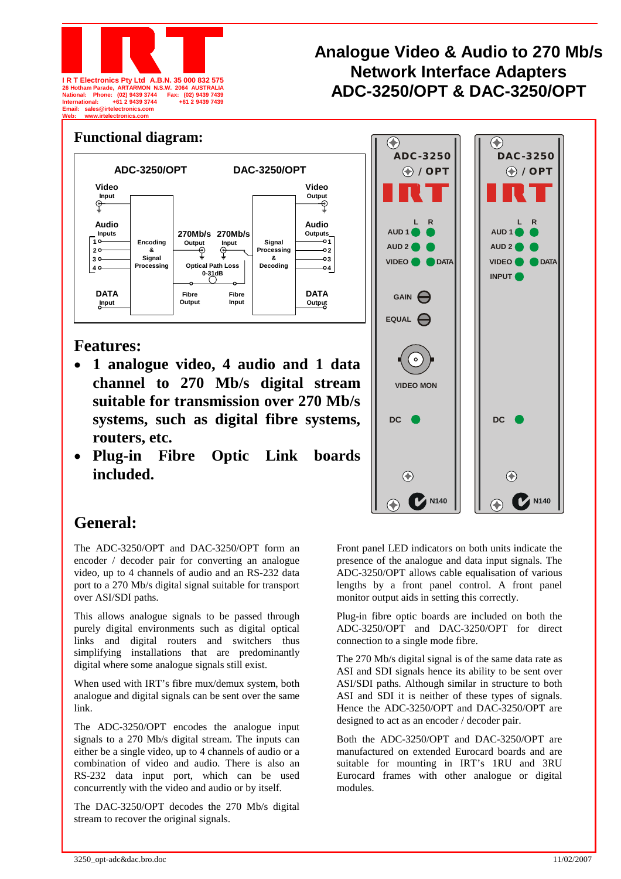

## **Analogue Video & Audio to 270 Mb/s Network Interface Adapters**  26 Hotham Parade, ARTARMON N.S.W. 2064 AUSTRALIA<br>National: Phone: (02) 9439 3744 Fax: (02) 9439 7439<br>International: +61 2 9439 3744 + 61 2 9439 7439



## **Features:**

- **1 analogue video, 4 audio and 1 data channel to 270 Mb/s digital stream suitable for transmission over 270 Mb/s systems, such as digital fibre systems, routers, etc.**
- **Plug-in Fibre Optic Link boards included.**



## **General:**

The ADC-3250/OPT and DAC-3250/OPT form an encoder / decoder pair for converting an analogue video, up to 4 channels of audio and an RS-232 data port to a 270 Mb/s digital signal suitable for transport over ASI/SDI paths.

This allows analogue signals to be passed through purely digital environments such as digital optical links and digital routers and switchers thus simplifying installations that are predominantly digital where some analogue signals still exist.

When used with IRT's fibre mux/demux system, both analogue and digital signals can be sent over the same link.

The ADC-3250/OPT encodes the analogue input signals to a 270 Mb/s digital stream. The inputs can either be a single video, up to 4 channels of audio or a combination of video and audio. There is also an RS-232 data input port, which can be used concurrently with the video and audio or by itself.

The DAC-3250/OPT decodes the 270 Mb/s digital stream to recover the original signals.

Front panel LED indicators on both units indicate the presence of the analogue and data input signals. The ADC-3250/OPT allows cable equalisation of various lengths by a front panel control. A front panel monitor output aids in setting this correctly.

Plug-in fibre optic boards are included on both the ADC-3250/OPT and DAC-3250/OPT for direct connection to a single mode fibre.

The 270 Mb/s digital signal is of the same data rate as ASI and SDI signals hence its ability to be sent over ASI/SDI paths. Although similar in structure to both ASI and SDI it is neither of these types of signals. Hence the ADC-3250/OPT and DAC-3250/OPT are designed to act as an encoder / decoder pair.

Both the ADC-3250/OPT and DAC-3250/OPT are manufactured on extended Eurocard boards and are suitable for mounting in IRT's 1RU and 3RU Eurocard frames with other analogue or digital modules.